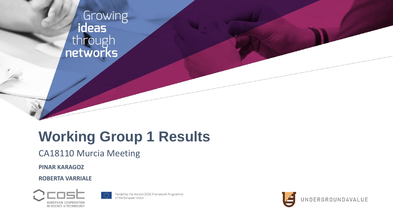

#### **Working Group 1 Results**

CA18110 Murcia Meeting

**PINAR KARAGOZ**

**ROBERTA VARRIALE** 





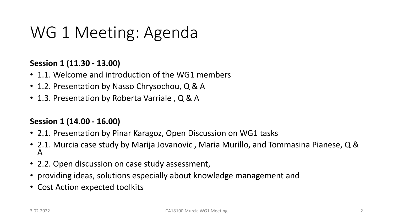# WG 1 Meeting: Agenda

#### **Session 1 (11.30 - 13.00)**

- 1.1. Welcome and introduction of the WG1 members
- 1.2. Presentation by Nasso Chrysochou, Q & A
- 1.3. Presentation by Roberta Varriale, Q & A

#### **Session 1 (14.00 - 16.00)**

- 2.1. Presentation by Pinar Karagoz, Open Discussion on WG1 tasks
- 2.1. Murcia case study by Marija Jovanovic , Maria Murillo, and Tommasina Pianese, Q & A
- 2.2. Open discussion on case study assessment,
- providing ideas, solutions especially about knowledge management and
- Cost Action expected toolkits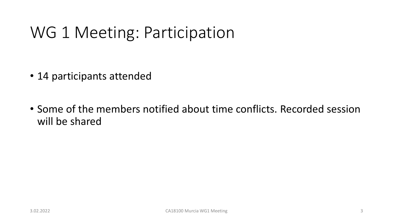# WG 1 Meeting: Participation

- 14 participants attended
- Some of the members notified about time conflicts. Recorded session will be shared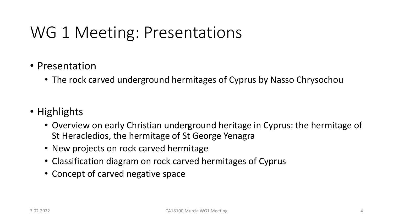- Presentation
	- The rock carved underground hermitages of Cyprus by Nasso Chrysochou
- Highlights
	- Overview on early Christian underground heritage in Cyprus: the hermitage of St Heracledios, the hermitage of St George Yenagra
	- New projects on rock carved hermitage
	- Classification diagram on rock carved hermitages of Cyprus
	- Concept of carved negative space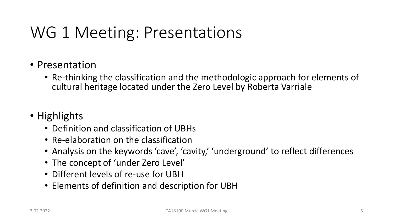- Presentation
	- Re-thinking the classification and the methodologic approach for elements of cultural heritage located under the Zero Level by Roberta Varriale
- Highlights
	- Definition and classification of UBHs
	- Re-elaboration on the classification
	- Analysis on the keywords 'cave', 'cavity,' 'underground' to reflect differences
	- The concept of 'under Zero Level'
	- Different levels of re-use for UBH
	- Elements of definition and description for UBH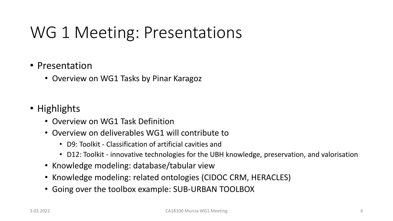#### • Presentation

- Overview on WG1 Tasks by Pinar Karagoz
- Highlights
	- Overview on WG1 Task Definition
	- Overview on deliverables WG1 will contribute to
		- D9: Toolkit Classification of artificial cavities and
		- D12: Toolkit innovative technologies for the UBH knowledge, preservation, and valorisation
	- Knowledge modeling: database/tabular view
	- Knowledge modeling: related ontologies (CIDOC CRM, HERACLES)
	- Going over the toolbox example: SUB-URBAN TOOLBOX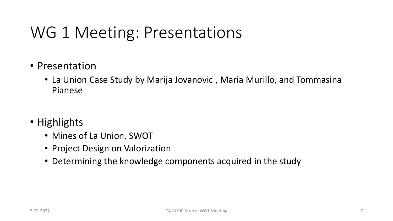- Presentation
	- La Union Case Study by Marija Jovanovic , Maria Murillo, and Tommasina Pianese
- Highlights
	- Mines of La Union, SWOT
	- Project Design on Valorization
	- Determining the knowledge components acquired in the study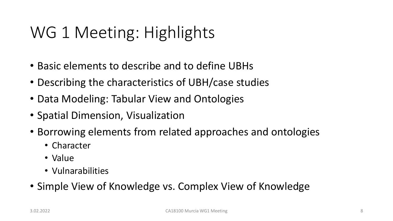# WG 1 Meeting: Highlights

- Basic elements to describe and to define UBHs
- Describing the characteristics of UBH/case studies
- Data Modeling: Tabular View and Ontologies
- Spatial Dimension, Visualization
- Borrowing elements from related approaches and ontologies
	- Character
	- Value
	- Vulnarabilities
- Simple View of Knowledge vs. Complex View of Knowledge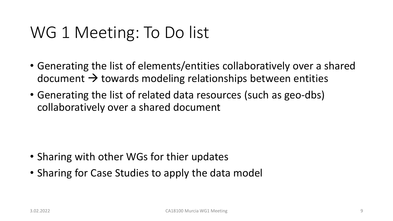#### WG 1 Meeting: To Do list

- Generating the list of elements/entities collaboratively over a shared document  $\rightarrow$  towards modeling relationships between entities
- Generating the list of related data resources (such as geo-dbs) collaboratively over a shared document

- Sharing with other WGs for thier updates
- Sharing for Case Studies to apply the data model